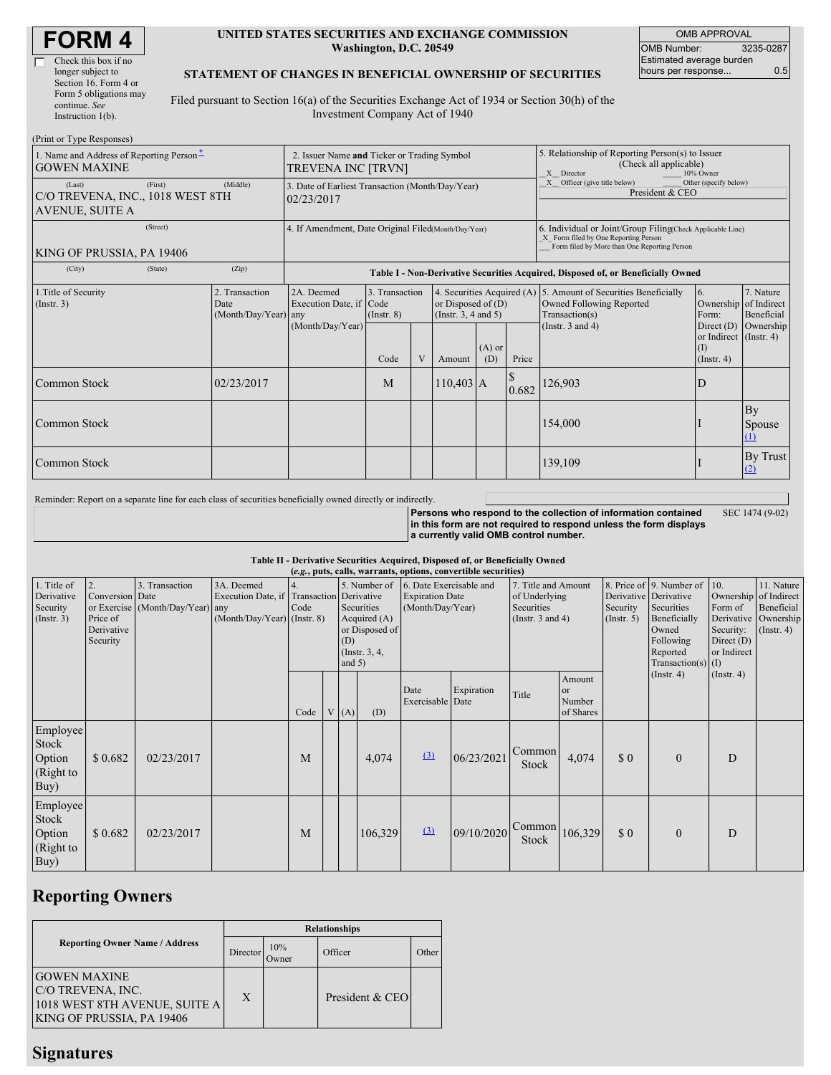| <b>FORM4</b> |  |
|--------------|--|
|--------------|--|

| Check this box if no   |
|------------------------|
| longer subject to      |
| Section 16. Form 4 or  |
| Form 5 obligations may |
| continue. See          |
| Instruction $l(b)$ .   |

#### **UNITED STATES SECURITIES AND EXCHANGE COMMISSION Washington, D.C. 20549**

OMB APPROVAL OMB Number: 3235-0287 Estimated average burden hours per response... 0.5

#### **STATEMENT OF CHANGES IN BENEFICIAL OWNERSHIP OF SECURITIES**

Filed pursuant to Section 16(a) of the Securities Exchange Act of 1934 or Section 30(h) of the Investment Company Act of 1940

| (Print or Type Responses)                                            |         |                                                                |                                                                                  |                                   |                       |                                                            |           |                                                                                                       |                                                                                                                                                    |                                      |                          |  |
|----------------------------------------------------------------------|---------|----------------------------------------------------------------|----------------------------------------------------------------------------------|-----------------------------------|-----------------------|------------------------------------------------------------|-----------|-------------------------------------------------------------------------------------------------------|----------------------------------------------------------------------------------------------------------------------------------------------------|--------------------------------------|--------------------------|--|
| 1. Name and Address of Reporting Person*<br><b>GOWEN MAXINE</b>      |         |                                                                | 2. Issuer Name and Ticker or Trading Symbol<br><b>TREVENA INC [TRVN]</b>         |                                   |                       |                                                            |           | 5. Relationship of Reporting Person(s) to Issuer<br>(Check all applicable)<br>10% Owner<br>X Director |                                                                                                                                                    |                                      |                          |  |
| (Last)<br>C/O TREVENA, INC., 1018 WEST 8TH<br><b>AVENUE, SUITE A</b> | (First) | 3. Date of Earliest Transaction (Month/Day/Year)<br>02/23/2017 |                                                                                  |                                   |                       |                                                            |           | Officer (give title below)<br>Other (specify below)<br>President & CEO                                |                                                                                                                                                    |                                      |                          |  |
| (Street)<br>KING OF PRUSSIA, PA 19406                                |         |                                                                | 4. If Amendment, Date Original Filed(Month/Day/Year)                             |                                   |                       |                                                            |           |                                                                                                       | 6. Individual or Joint/Group Filing(Check Applicable Line)<br>X Form filed by One Reporting Person<br>Form filed by More than One Reporting Person |                                      |                          |  |
| (City)                                                               | (State) | (Zip)                                                          | Table I - Non-Derivative Securities Acquired, Disposed of, or Beneficially Owned |                                   |                       |                                                            |           |                                                                                                       |                                                                                                                                                    |                                      |                          |  |
| 1. Title of Security<br>(Insert. 3)                                  |         | 2. Transaction<br>Date<br>(Month/Day/Year) any                 | 2A. Deemed<br>Execution Date, if Code                                            | 3. Transaction<br>$($ Instr. $8)$ |                       | or Disposed of $(D)$<br>(Instr. $3, 4$ and $5$ )           |           |                                                                                                       | 4. Securities Acquired (A) 5. Amount of Securities Beneficially<br>Owned Following Reported<br>Transaction(s)                                      | 6.<br>Ownership of Indirect<br>Form: | 7. Nature<br>Beneficial  |  |
|                                                                      |         |                                                                | (Month/Day/Year)<br>$(A)$ or<br>V<br>Code<br>Price<br>(D)<br>Amount              |                                   | (Instr. $3$ and $4$ ) | Direct (D)<br>or Indirect (Instr. 4)<br>(1)<br>(Insert. 4) | Ownership |                                                                                                       |                                                                                                                                                    |                                      |                          |  |
| Common Stock                                                         |         | 02/23/2017                                                     |                                                                                  | M                                 |                       | $110,403$ A                                                |           | 0.682                                                                                                 | 126,903                                                                                                                                            | D                                    |                          |  |
| Common Stock                                                         |         |                                                                |                                                                                  |                                   |                       |                                                            |           |                                                                                                       | 154,000                                                                                                                                            |                                      | By<br>Spouse<br>$\Omega$ |  |
| Common Stock                                                         |         |                                                                |                                                                                  |                                   |                       |                                                            |           |                                                                                                       | 139,109                                                                                                                                            |                                      | By Trust<br>(2)          |  |

Reminder: Report on a separate line for each class of securities beneficially owned directly or indirectly.

SEC 1474 (9-02)

**Persons who respond to the collection of information contained in this form are not required to respond unless the form displays a currently valid OMB control number.**

**Table II - Derivative Securities Acquired, Disposed of, or Beneficially Owned**

| (e.g., puts, calls, warrants, options, convertible securities) |                                                             |                                                    |                                                                                        |            |  |                                                                                                    |         |                                                                       |            |                                                                             |                                                |                                                  |                                                                                                                  |                                                                                     |                                                                      |
|----------------------------------------------------------------|-------------------------------------------------------------|----------------------------------------------------|----------------------------------------------------------------------------------------|------------|--|----------------------------------------------------------------------------------------------------|---------|-----------------------------------------------------------------------|------------|-----------------------------------------------------------------------------|------------------------------------------------|--------------------------------------------------|------------------------------------------------------------------------------------------------------------------|-------------------------------------------------------------------------------------|----------------------------------------------------------------------|
| 1. Title of<br>Derivative<br>Security<br>(Insert. 3)           | 2.<br>Conversion Date<br>Price of<br>Derivative<br>Security | 3. Transaction<br>or Exercise (Month/Day/Year) any | 3A. Deemed<br>Execution Date, if Transaction Derivative<br>(Month/Day/Year) (Instr. 8) | 4.<br>Code |  | 5. Number of<br>Securities<br>Acquired $(A)$<br>or Disposed of<br>(D)<br>(Instr. 3, 4,<br>and $5)$ |         | 6. Date Exercisable and<br><b>Expiration Date</b><br>(Month/Day/Year) |            | 7. Title and Amount<br>of Underlying<br>Securities<br>(Instr. $3$ and $4$ ) |                                                | Derivative Derivative<br>Security<br>(Insert. 5) | 8. Price of 9. Number of<br>Securities<br>Beneficially<br>Owned<br>Following<br>Reported<br>Transaction(s) $(I)$ | 10.<br>Ownership of Indirect<br>Form of<br>Security:<br>Direct $(D)$<br>or Indirect | 11. Nature<br>Beneficial<br>Derivative Ownership<br>$($ Instr. 4 $)$ |
|                                                                |                                                             |                                                    |                                                                                        | Code       |  | V(A)                                                                                               | (D)     | Date<br>Exercisable Date                                              | Expiration | Title                                                                       | Amount<br><sub>or</sub><br>Number<br>of Shares |                                                  | $($ Instr. 4 $)$                                                                                                 | $($ Instr. 4 $)$                                                                    |                                                                      |
| Employee<br>Stock<br>Option<br>(Right to<br>Buy)               | \$0.682                                                     | 02/23/2017                                         |                                                                                        | M          |  |                                                                                                    | 4,074   | (3)                                                                   | 06/23/2021 | Common<br>Stock                                                             | 4,074                                          | \$0                                              | $\Omega$                                                                                                         | D                                                                                   |                                                                      |
| Employee<br>Stock<br>Option<br>(Right to<br>Buy)               | \$0.682                                                     | 02/23/2017                                         |                                                                                        | M          |  |                                                                                                    | 106,329 | (3)                                                                   | 09/10/2020 | Common<br>Stock                                                             | 106,329                                        | \$0                                              | $\mathbf{0}$                                                                                                     | D                                                                                   |                                                                      |

## **Reporting Owners**

|                                                                                                               | <b>Relationships</b> |              |                 |       |  |  |  |
|---------------------------------------------------------------------------------------------------------------|----------------------|--------------|-----------------|-------|--|--|--|
| <b>Reporting Owner Name / Address</b>                                                                         | Director             | 10%<br>Owner | Officer         | Other |  |  |  |
| <b>GOWEN MAXINE</b><br><b>C/O TREVENA, INC.</b><br>1018 WEST 8TH AVENUE, SUITE A<br>KING OF PRUSSIA, PA 19406 | X                    |              | President & CEO |       |  |  |  |

### **Signatures**